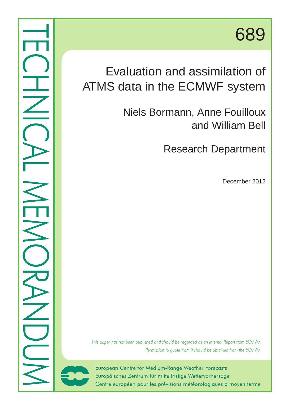# 689

## Evaluation and assimilation of ATMS data in the ECMWF system

Niels Bormann, Anne Fouilloux and William Bell

Research Department

December 2012

This paper has not been published and should be regarded as an Internal Report from ECMWF. Permission to quote from it should be obtained from the ECMWF.



European Centre for Medium-Range Weather Forecasts Europäisches Zentrum für mittelfristige Wettervorhersage Centre européen pour les prévisions météorologiques à moyen terme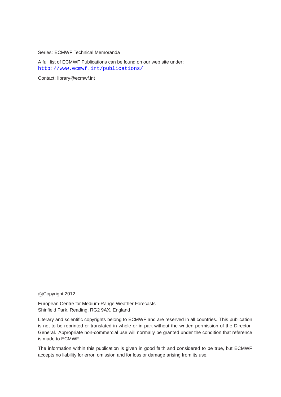Series: ECMWF Technical Memoranda

A full list of ECMWF Publications can be found on our web site under: <http://www.ecmwf.int/publications/>

Contact: library@ecmwf.int

°c Copyright 2012

European Centre for Medium-Range Weather Forecasts Shinfield Park, Reading, RG2 9AX, England

Literary and scientific copyrights belong to ECMWF and are reserved in all countries. This publication is not to be reprinted or translated in whole or in part without the written permission of the Director-General. Appropriate non-commercial use will normally be granted under the condition that reference is made to ECMWF.

The information within this publication is given in good faith and considered to be true, but ECMWF accepts no liability for error, omission and for loss or damage arising from its use.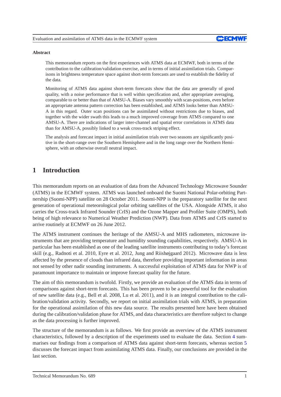

#### **Abstract**

This memorandum reports on the first experiences with ATMS data at ECMWF, both in terms of the contribution to the calibration/validation exercise, and in terms of initial assimilation trials. Comparisons in brightness temperature space against short-term forecasts are used to establish the fidelity of the data.

Monitoring of ATMS data against short-term forecasts show that the data are generally of good quality, with a noise performance that is well within specification and, after appropriate averaging, comparable to or better than that of AMSU-A. Biases vary smoothly with scan-positions, even before an appropriate antenna pattern correction has been established, and ATMS looks better than AMSU-A in this regard. Outer scan positions can be assimilated without restrictions due to biases, and together with the wider swath this leads to a much improved coverage from ATMS compared to one AMSU-A. There are indications of larger inter-channel and spatial error correlations in ATMS data than for AMSU-A, possibly linked to a weak cross-track striping effect.

The analysis and forecast impact in initial assimilation trials over two seasons are significantly positive in the short-range over the Southern Hemisphere and in the long range over the Northern Hemisphere, with an otherwise overall neutral impact.

## **1 Introduction**

This memorandum reports on an evaluation of data from the Advanced Technology Microwave Sounder (ATMS) in the ECMWF system. ATMS was launched onboard the Suomi National Polar-orbiting Partnership (Suomi-NPP) satellite on 28 October 2011. Suomi-NPP is the preparatory satellite for the next generation of operational meteorological polar orbiting satellites of the USA. Alongside ATMS, it also carries the Cross-track Infrared Sounder (CrIS) and the Ozone Mapper and Profiler Suite (OMPS), both being of high relevance to Numerical Weather Prediction (NWP). Data from ATMS and CrIS started to arrive routinely at ECMWF on 26 June 2012.

The ATMS instrument continues the heritage of the AMSU-A and MHS radiometers, microwave instruments that are providing temperature and humidity sounding capabilities, respectively. AMSU-A in particular has been established as one of the leading satellite instruments contributing to today's forecast skill (e.g., Radnoti et al. 2010, Eyre et al. 2012, Jung and Riishøjgaard 2012). Microwave data is less affected by the presence of clouds than infrared data, therefore providing important information in areas not sensed by other nadir sounding instruments. A successful exploitation of ATMS data for NWP is of paramount importance to maintain or improve forecast quality for the future.

The aim of this memorandum is twofold. Firstly, we provide an evaluation of the ATMS data in terms of comparisons against short-term forecasts. This has been proven to be a powerful tool for the evaluation of new satellite data (e.g., Bell et al. 2008, Lu et al. 2011), and it is an integral contribution to the calibration/validation activity. Secondly, we report on initial assimilation trials with ATMS, in preparation for the operational assimilation of this new data source. The results presented here have been obtained during the calibration/validation phase for ATMS, and data characteristics are therefore subject to change as the data processing is further improved.

The structure of the memorandum is as follows. We first provide an overview of the ATMS instrument characteristics, followed by a description of the experiments used to evaluate the data. Section [4](#page-6-0) summarises our findings from a comparison of ATMS data against short-term forecasts, whereas section [5](#page-11-0) discusses the forecast impact from assimilating ATMS data. Finally, our conclusions are provided in the last section.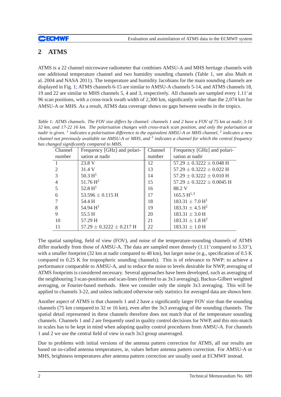## **2 ATMS**

ATMS is a 22 channel microwave radiometer that combines AMSU-A and MHS heritage channels with one additional temperature channel and two humidity sounding channels (Table 1, see also Muth et al. 2004 and NASA 2011). The temperature and humidity Jacobians for the main sounding channels are displayed in Fig. [1;](#page-4-0) ATMS channels 6-15 are similar to AMSU-A channels 5-14, and ATMS channels 18, 19 and 22 are similar to MHS channels 5, 4 and 3, respectively. All channels are sampled every 1.11<sup>°</sup> at 96 scan positions, with a cross-track swath width of 2,300 km, significantly wider than the 2,074 km for AMSU-A or MHS. As a result, ATMS data coverage shows no gaps between swaths in the tropics.

*Table 1: ATMS channels. The FOV size differs by channel: channels 1 and 2 have a FOV of 75 km at nadir, 3-16 32 km, and 17-22 16 km. The polarisation changes with cross-track scan position, and only the polarisation at nadir is given.* <sup>1</sup> *indicates a polarisation difference to the equivalent AMSU-A or MHS channel,* <sup>2</sup> *indicates a new channel not previously available on AMSU-A or MHS, and* <sup>3</sup> *indicates a channel for which the central frequency has changed significantly compared to MHS.*

| Channel        | Frequency [GHz] and polari-    | Channel | Frequency [GHz] and polari-     |
|----------------|--------------------------------|---------|---------------------------------|
| number         | sation at nadir                | number  | sation at nadir                 |
|                | 23.8 V                         | 12      | $57.29 \pm 0.3222 \pm 0.048$ H  |
| $\overline{2}$ | 31.4 V                         | 13      | $57.29 \pm 0.3222 \pm 0.022$ H  |
| 3              | 50.3 H <sup>1</sup>            | 14      | $57.29 \pm 0.3222 \pm 0.010$ H  |
| $\overline{4}$ | $51.76\,H^2$                   | 15      | $57.29 \pm 0.3222 \pm 0.0045$ H |
|                | 52.8 $H^1$                     | 16      | 88.2 V                          |
| 6              | 53.596 $\pm$ 0.115 H           | 17      | $165.5 \text{ H}^{1,3}$         |
|                | 54.4 H                         | 18      | $183.31 \pm 7.0 \text{ H}^1$    |
| 8              | 54.94 $H^1$                    | 19      | $183.31 \pm 4.5$ H <sup>2</sup> |
| 9              | 55.5 H                         | 20      | $183.31 \pm 3.0$ H              |
| 10             | 57.29 H                        | 21      | $183.31 \pm 1.8$ H <sup>2</sup> |
| 11             | $57.29 \pm 0.3222 \pm 0.217$ H | 22      | $183.31 \pm 1.0$ H              |

The spatial sampling, field of view (FOV), and noise of the temperature-sounding channels of ATMS differ markedly from those of AMSU-A. The data are sampled more densely (1.11° compared to 3.33°), with a smaller footprint (32 km at nadir compared to 48 km), but larger noise (e.g., specification of 0.5 K compared to 0.25 K for tropospheric sounding channels). This is of relevance to NWP: to achieve a performance comparable to AMSU-A, and to reduce the noise to levels desirable for NWP, averaging of ATMS footprints is considered necessary. Several approaches have been developed, such as averaging of the neighbouring 3 scan-positions and scan-lines (referred to as 3x3 averaging), Backus-Gilbert weighted averaging, or Fourier-based methods. Here we consider only the simple 3x3 averaging. This will be applied to channels 3-22, and unless indicated otherwise only statistics for averaged data are shown here.

Another aspect of ATMS is that channels 1 and 2 have a significantly larger FOV size than the sounding channels (75 km compared to 32 or 16 km), even after the 3x3 averaging of the sounding channels. The spatial detail represented in these channels therefore does not match that of the temperature sounding channels. Channels 1 and 2 are frequently used in quality control decisions for NWP, and this mis-match in scales has to be kept in mind when adopting quality control procedures from AMSU-A. For channels 1 and 2 we use the central field of view in each 3x3 group unaveraged.

Due to problems with initial versions of the antenna pattern correction for ATMS, all our results are based on so-called antenna temperatures, ie, values before antenna pattern correction. For AMSU-A or MHS, brightness temperatures after antenna pattern correction are usually used at ECMWF instead.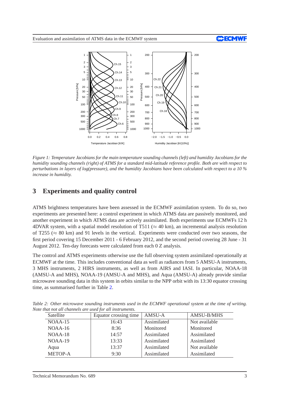

<span id="page-4-0"></span>*Figure 1: Temperature Jacobians for the main temperature sounding channels (left) and humidity Jacobians for the humidity sounding channels (right) of ATMS for a standard mid-latitude reference profile. Both are with respect to perturbations in layers of log(pressure), and the humidity Jacobians have been calculated with respect to a 10 % increase in humidity.*

## **3 Experiments and quality control**

ATMS brightness temperatures have been assessed in the ECMWF assimilation system. To do so, two experiments are presented here: a control experiment in which ATMS data are passively monitored, and another experiment in which ATMS data are actively assimilated. Both experiments use ECMWFs 12 h 4DVAR system, with a spatial model resolution of T511 ( $\approx$  40 km), an incremental analysis resolution of T255 ( $\approx$  80 km) and 91 levels in the vertical. Experiments were conducted over two seasons, the first period covering 15 December 2011 - 6 February 2012, and the second period covering 28 June - 31 August 2012. Ten-day forecasts were calculated from each 0 Z analysis.

The control and ATMS experiments otherwise use the full observing system assimilated operationally at ECMWF at the time. This includes conventional data as well as radiances from 5 AMSU-A instruments, 3 MHS instruments, 2 HIRS instruments, as well as from AIRS and IASI. In particular, NOAA-18 (AMSU-A and MHS), NOAA-19 (AMSU-A and MHS), and Aqua (AMSU-A) already provide similar microwave sounding data in this system in orbits similar to the NPP orbit with its 13:30 equator crossing time, as summarised further in Table [2.](#page-4-1)

| Satellite      | Equator crossing time | AMSU-A      | AMSU-B/MHS    |  |
|----------------|-----------------------|-------------|---------------|--|
| NOAA-15        | 16:43                 | Assimilated | Not available |  |
| $NOAA-16$      | 8:36                  | Monitored   | Monitored     |  |
| NOAA-18        | 14:57                 | Assimilated | Assimilated   |  |
| NOAA-19        | 13:33                 | Assimilated | Assimilated   |  |
| Aqua           | 13:37                 | Assimilated | Not available |  |
| <b>METOP-A</b> | 9:30                  | Assimilated | Assimilated   |  |

<span id="page-4-1"></span>*Table 2: Other microwave sounding instruments used in the ECMWF operational system at the time of writing. Note that not all channels are used for all instruments.*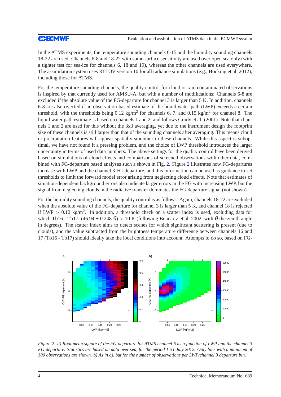In the ATMS experiments, the temperature sounding channels 6-15 and the humidity sounding channels 18-22 are used. Channels 6-8 and 18-22 with some surface sensitivity are used over open sea only (with a tighter test for sea-ice for channels 6, 18 and 19), whereas the other channels are used everywhere. The assimilation system uses RTTOV version 10 for all radiance simulations (e.g., Hocking et al. 2012), including those for ATMS.

For the temperature sounding channels, the quality control for cloud or rain contaminated observations is inspired by that currently used for AMSU-A, but with a number of modifications: Channels 6-8 are excluded if the absolute value of the FG-departure for channel 3 is larger than 5 K. In addition, channels 6-8 are also rejected if an observation-based estimate of the liquid water path (LWP) exceeds a certain threshold, with the thresholds being  $0.12 \text{ kg/m}^2$  for channels 6, 7, and  $0.15 \text{ kg/m}^2$  for channel 8. The liquid water path estimate is based on channels 1 and 2, and follows Grody et al. (2001). Note that channels 1 and 2 are used for this without the 3x3 averaging, yet due to the instrument design the footprint size of these channels is still larger than that of the sounding channels after averaging. This means cloud or precipitation features will appear spatially smoother in these channels. While this aspect is suboptimal, we have not found it a pressing problem, and the choice of LWP threshold introduces the larger uncertainty in terms of used data numbers. The above settings for the quality control have been derived based on simulations of cloud effects and comparisons of screened observations with other data, combined with FG-departure based analyses such a shown in Fig. [2.](#page-5-0) Figure [2](#page-5-0) illustrates how FG-departures increase with LWP and the channel 3 FG-departure, and this information can be used as guidance to set thresholds to limit the forward model error arising from neglecting cloud effects. Note that estimates of situation-dependent background errors also indicate larger errors in the FG with increasing LWP, but the signal from neglecting clouds in the radiative transfer dominates the FG-departure signal (not shown).

For the humidity sounding channels, the quality control is as follows: Again, channels 18-22 are excluded when the absolute value of the FG-departure for channel 3 is larger than 5 K, and channel 18 is rejected if LWP  $> 0.12$  kg/m<sup>2</sup>. In addition, a threshold check on a scatter index is used, excluding data for which Tb16 - Tb17  $(46.94 + 0.248 \theta) > 10$  K (following Bennartz et al. 2002, with  $\theta$  the zenith angle in degrees). The scatter index aims to detect scenes for which significant scattering is present (due to clouds), and the value subtracted from the brightness temperature difference between channels 16 and 17 (Tb16 - Tb17) should ideally take the local conditions into account. Attempts to do so, based on FG-



<span id="page-5-0"></span>*Figure 2: a) Root mean square of the FG-departure for ATMS channel 6 as a function of LWP and the channel 3 FG-departure. Statistics are based on data over sea, for the period 1-31 July 2012. Only bins with a minimum of 100 observations are shown. b) As in a), but for the number of observations per LWP/channel 3 departure bin.*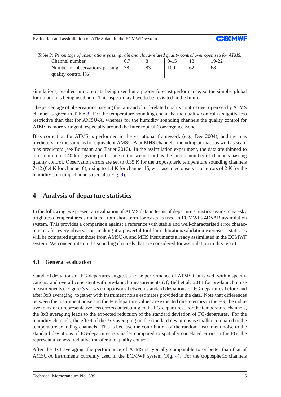

| Channel number                 |  | $9 - 15$ | $19-22$ |
|--------------------------------|--|----------|---------|
| Number of observations passing |  | .00      | 68      |
| quality control $[\%]$         |  |          |         |

<span id="page-6-1"></span>*Table 3: Percentage of observations passing rain and cloud-related quality control over open sea for ATMS.*

simulations, resulted in more data being used but a poorer forecast performance, so the simpler global formulation is being used here. This aspect may have to be revisited in the future.

The percentage of observations passing the rain and cloud-related quality control over open sea by ATMS channel is given in Table [3.](#page-6-1) For the temperature-sounding channels, the quality control is slightly less restrictive than that for AMSU-A, whereas for the humidity sounding channels the quality control for ATMS is more stringent, especially around the Intertropical Convergence Zone.

Bias correction for ATMS is performed in the variational framework (e.g., Dee 2004), and the bias predictors are the same as for equivalent AMSU-A or MHS channels, including airmass as well as scanbias predictors (see Bormann and Bauer 2010). In the assimilation experiment, the data are thinned to a resolution of 140 km, giving preference to the scene that has the largest number of channels passing quality control. Observation errors are set to 0.35 K for the tropospheric temperature sounding channels 7-12 (0.4 K for channel 6), rising to 1.4 K for channel 15, with assumed observation errors of 2 K for the humidity sounding channels (see also Fig. [9\)](#page-10-0).

## <span id="page-6-0"></span>**4 Analysis of departure statistics**

In the following, we present an evaluation of ATMS data in terms of departure statistics against clear-sky brightness temperatures simulated from short-term forecasts as used in ECMWFs 4DVAR assimilation system. This provides a comparison against a reference with stable and well-characterised error characteristics for every observation, making it a powerful tool for calibration/validation exercises. Statistics will be compared against those from AMSU-A and MHS instruments already assimilated in the ECMWF system. We concentrate on the sounding channels that are considered for assimilation in this report.

#### **4.1 General evaluation**

Standard deviations of FG-departures suggest a noise performance of ATMS that is well within specifications, and overall consistent with pre-launch measurements (cf, Bell et al. 2011 for pre-launch noise measurements). Figure [3](#page-7-0) shows comparisons between standard deviations of FG-departures before and after 3x3 averaging, together with instrument noise estimates provided in the data. Note that differences between the instrument noise and the FG-departure values are expected due to errors in the FG, the radiative transfer or representativeness errors contributing to the FG-departures. For the temperature channels, the 3x3 averaging leads to the expected reduction of the standard deviation of FG-departures. For the humidity channels, the effect of the 3x3 averaging on the standard deviations is smaller compared to the temperature sounding channels. This is because the contribution of the random instrument noise to the standard deviations of FG-departures is smaller compared to spatially correlated errors in the FG, the representativeness, radiative transfer and quality control.

After the 3x3 averaging, the performance of ATMS is typically comparable to or better than that of AMSU-A instruments currently used in the ECMWF system (Fig. [4\)](#page-7-1). For the tropospheric channels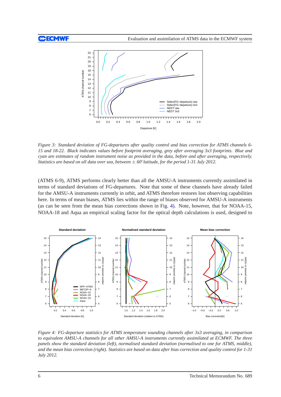

<span id="page-7-0"></span>*Figure 3: Standard deviation of FG-departures after quality control and bias correction for ATMS channels 6- 15 and 18-22. Black indicates values before footprint averaging, grey after averaging 3x3 footprints. Blue and cyan are estimates of random instrument noise as provided in the data, before and after averaging, respectively. Statistics are based on all data over sea, between* ± *60*◦ *latitude, for the period 1-31 July 2012.*

(ATMS 6-9), ATMS performs clearly better than all the AMSU-A instruments currently assimilated in terms of standard deviations of FG-departures. Note that some of these channels have already failed for the AMSU-A instruments currently in orbit, and ATMS therefore restores lost observing capabilities here. In terms of mean biases, ATMS lies within the range of biases observed for AMSU-A instruments (as can be seen from the mean bias corrections shown in Fig. [4\)](#page-7-1). Note, however, that for NOAA-15, NOAA-18 and Aqua an empirical scaling factor for the optical depth calculations is used, designed to



<span id="page-7-1"></span>*Figure 4: FG-departure statistics for ATMS temperature sounding channels after 3x3 averaging, in comparison to equivalent AMSU-A channels for all other AMSU-A instruments currently assimilated at ECMWF. The three panels show the standard deviation (left), normalised standard deviation (normalised to one for ATMS, middle), and the mean bias correction (right). Statistics are based on data after bias correction and quality control for 1-31 July 2012.*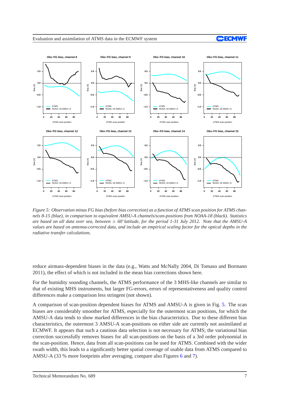#### Evaluation and assimilation of ATMS data in the ECMWF system





<span id="page-8-0"></span>*Figure 5: Observation minus FG bias (before bias correction) as a function of ATMS scan position for ATMS channels 8-15 (blue), in comparison to equivalent AMSU-A channels/scan-positions from NOAA-18 (black). Statistics are based on all data over sea, between* ± *60*◦ *latitude, for the period 1-31 July 2012. Note that the AMSU-A values are based on antenna-corrected data, and include an empirical scaling factor for the optical depths in the radiative transfer calculations.*

reduce airmass-dependent biases in the data (e.g., Watts and McNally 2004, Di Tomaso and Bormann 2011), the effect of which is not included in the mean bias corrections shown here.

For the humidity sounding channels, the ATMS performance of the 3 MHS-like channels are similar to that of existing MHS instruments, but larger FG-errors, errors of representativeness and quality control differences make a comparison less stringent (not shown).

A comparison of scan-position dependent biases for ATMS and AMSU-A is given in Fig. [5.](#page-8-0) The scan biases are considerably smoother for ATMS, especially for the outermost scan positions, for which the AMSU-A data tends to show marked differences in the bias characteristics. Due to these different bias characteristics, the outermost 3 AMSU-A scan-positions on either side are currently not assimilated at ECMWF. It appears that such a cautious data selection is not necessary for ATMS; the variational bias correction successfully removes biases for all scan-positions on the basis of a 3rd order polynomial in the scan-position. Hence, data from all scan-positions can be used for ATMS. Combined with the wider swath width, this leads to a significantly better spatial coverage of usable data from ATMS compared to AMSU-A (33 % more footprints after averaging, compare also Figures [6](#page-9-0) and [7\)](#page-9-1).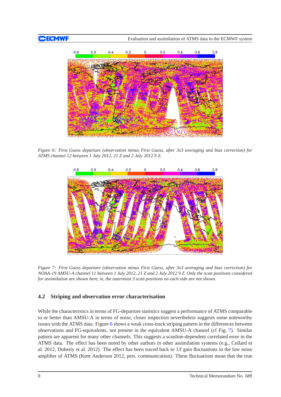

<span id="page-9-0"></span>*Figure 6: First Guess departure (observation minus First Guess, after 3x3 averaging and bias correction) for ATMS channel 12 between 1 July 2012, 21 Z and 2 July 2012 9 Z.*



<span id="page-9-1"></span>*Figure 7: First Guess departure (observation minus First Guess, after 3x3 averaging and bias correction) for NOAA-19 AMSU-A channel 11 between 1 July 2012, 21 Z and 2 July 2012 9 Z. Only the scan positions considered for assimilation are shown here, ie, the outermost 3 scan positions on each side are not shown.*

#### **4.2 Striping and observation error characterisation**

While the characteristics in terms of FG-departure statistics suggest a performance of ATMS comparable to or better than AMSU-A in terms of noise, closer inspection nevertheless suggests some noteworthy issues with the ATMS data. Figure [6](#page-9-0) shows a weak cross-track striping pattern in the differences between observations and FG-equivalents, not present in the equivalent AMSU-A channel (cf Fig. [7\)](#page-9-1). Similar pattern are apparent for many other channels. This suggests a scanline-dependent correlated error in the ATMS data. The effect has been noted by other authors in other assimilation systems (e.g., Collard et al. 2012, Doherty et al. 2012). The effect has been traced back to 1/f gain fluctuations in the low noise amplifier of ATMS (Kent Anderson 2012, pers. communication). These fluctuations mean that the true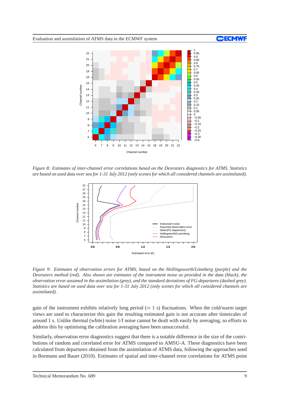

<span id="page-10-1"></span>*Figure 8: Estimates of inter-channel error correlations based on the Desroziers diagnostics for ATMS. Statistics are based on used data over sea for 1-31 July 2012 (only scenes for which all considered channels are assimilated).*



<span id="page-10-0"></span>*Figure 9: Estimates of observation errors for ATMS, based on the Hollingsworth/Lönnberg (purple) and the Desroziers method (red). Also shown are estimates of the instrument noise as provided in the data (black), the observation error assumed in the assimilation (grey), and the standard deviations of FG-departures (dashed grey). Statistics are based on used data over sea for 1-31 July 2012 (only scenes for which all considered channels are assimilated).*

gain of the instrument exhibits relatively long period ( $\approx 1$  s) fluctuations. When the cold/warm target views are used to characterize this gain the resulting estimated gain is not accurate after timescales of around 1 s. Unlike thermal (white) noise 1/f noise cannot be dealt with easily by averaging, so efforts to address this by optimising the calibration averaging have been unsuccessful.

Similarly, observation error diagnostics suggest that there is a notable difference in the size of the contributions of random and correlated error for ATMS compared to AMSU-A. These diagnostics have been calculated from departures obtained from the assimilation of ATMS data, following the approaches used in Bormann and Bauer (2010). Estimates of spatial and inter-channel error correlations for ATMS point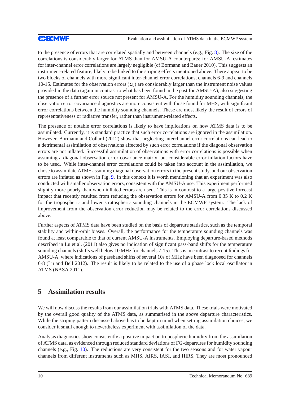to the presence of errors that are correlated spatially and between channels (e.g., Fig. [8\)](#page-10-1). The size of the correlations is considerably larger for ATMS than for AMSU-A counterparts; for AMSU-A, estimates for inter-channel error correlations are largely negligible (cf Bormann and Bauer 2010). This suggests an instrument-related feature, likely to be linked to the striping effects mentioned above. There appear to be two blocks of channels with more significant inter-channel error correlations, channels 6-9 and channels 10-15. Estimates for the observation errors (<sup>σ</sup>*o*) are considerably larger than the instrument noise values provided in the data (again in contrast to what has been found in the past for AMSU-A), also suggesting the presence of a further error source not present for AMSU-A. For the humidity sounding channels, the observation error covariance diagnostics are more consistent with those found for MHS, with significant error correlations between the humidity sounding channels. These are most likely the result of errors of representativeness or radiative transfer, rather than instrument-related effects.

The presence of notable error correlations is likely to have implications on how ATMS data is to be assimilated. Currently, it is standard practice that such error correlations are ignored in the assimilation. However, Bormann and Collard (2012) show that neglecting interchannel error correlations can lead to a detrimental assimilation of observations affected by such error correlations if the diagonal observation errors are not inflated. Successful assimilation of observations with error correlations is possible when assuming a diagonal observation error covariance matrix, but considerable error inflation factors have to be used. While inter-channel error correlations could be taken into account in the assimilation, we chose to assimilate ATMS assuming diagonal observation errors in the present study, and our observation errors are inflated as shown in Fig. [9.](#page-10-0) In this context it is worth mentioning that an experiment was also conducted with smaller observation errors, consistent with the AMSU-A use. This experiment performed slightly more poorly than when inflated errors are used. This is in contrast to a large positive forecast impact that recently resulted from reducing the observation errors for AMSU-A from 0.35 K to 0.2 K for the tropospheric and lower stratospheric sounding channels in the ECMWF system. The lack of improvement from the observation error reduction may be related to the error correlations discussed above.

Further aspects of ATMS data have been studied on the basis of departure statistics, such as the temporal stability and within-orbit biases. Overall, the performance for the temperature sounding channels was found at least comparable to that of current AMSU-A instruments. Employing departure-based methods described in Lu et al. (2011) also gives no indication of significant pass-band shifts for the temperature sounding channels (shifts well below 10 MHz for channels 7-15). This is in contrast to recent findings for AMSU-A, where indications of passband shifts of several 10s of MHz have been diagnosed for channels 6-8 (Lu and Bell 2012). The result is likely to be related to the use of a phase lock local oscillator in ATMS (NASA 2011).

## <span id="page-11-0"></span>**5 Assimilation results**

We will now discuss the results from our assimilation trials with ATMS data. These trials were motivated by the overall good quality of the ATMS data, as summarised in the above departure characteristics. While the striping pattern discussed above has to be kept in mind when setting assimilation choices, we consider it small enough to nevertheless experiment with assimilation of the data.

Analysis diagnostics show consistently a positive impact on tropospheric humidity from the assimilation of ATMS data, as evidenced through reduced standard deviations of FG-departures for humidity sounding channels (e.g., Fig. [10\)](#page-12-0). The reductions are very consistent for the two seasons and for water vapour channels from different instruments such as MHS, AIRS, IASI, and HIRS. They are most pronounced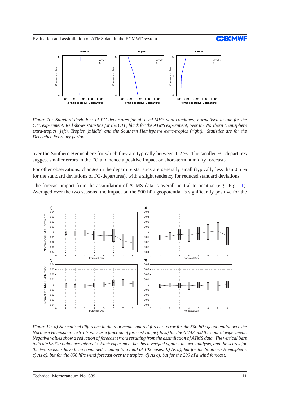



<span id="page-12-0"></span>*Figure 10: Standard deviations of FG departures for all used MHS data combined, normalised to one for the CTL experiment. Red shows statistics for the CTL, black for the ATMS experiment, over the Northern Hemisphere extra-tropics (left), Tropics (middle) and the Southern Hemisphere extra-tropics (right). Statistics are for the December-February period.*

over the Southern Hemisphere for which they are typically between 1-2 %. The smaller FG departures suggest smaller errors in the FG and hence a positive impact on short-term humidity forecasts.

For other observations, changes in the departure statistics are generally small (typically less than 0.5 % for the standard deviations of FG-departures), with a slight tendency for reduced standard deviations.

The forecast impact from the assimilation of ATMS data is overall neutral to positive (e.g., Fig. [11\)](#page-12-1). Averaged over the two seasons, the impact on the 500 hPa geopotential is significantly positive for the



<span id="page-12-1"></span>*Figure 11: a) Normalised difference in the root mean squared forecast error for the 500 hPa geopotential over the Northern Hemisphere extra-tropics as a function of forecast range (days) for the ATMS and the control experiment. Negative values show a reduction of forecast errors resulting from the assimilation of ATMS data. The vertical bars indicate 95 % confidence intervals. Each experiment has been verified against its own analysis, and the scores for the two seasons have been combined, leading to a total of 102 cases. b) As a), but for the Southern Hemisphere. c) As a), but for the 850 hPa wind forecast over the tropics. d) As c), but for the 200 hPa wind forecast.*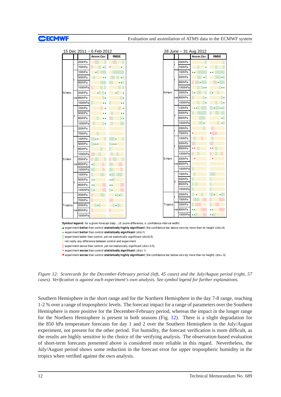|         |   |           | 15 Dec 2011 - 6 Feb 2012 |             |  |         |   |           | 28 June - 31 Aug 2012 |
|---------|---|-----------|--------------------------|-------------|--|---------|---|-----------|-----------------------|
|         |   |           | Anom.Cor.                | <b>RMSE</b> |  |         |   |           | Anom.Cor.             |
|         |   | 200hPa    |                          |             |  |         |   | 200hPa    |                       |
|         |   | 700hPa    | 884                      |             |  |         |   | 700hPa    |                       |
|         |   | 100hPa    |                          |             |  |         |   | 100hPa    |                       |
|         |   | 500hPa    | ▲▲                       |             |  |         |   | 500hPa    |                       |
|         |   | 850hPa    |                          |             |  | N.Hem   |   | 850hPa    |                       |
|         |   | 1000hPa   | 888                      |             |  |         |   | 1000hPa   |                       |
| N.Hem   |   | 200hPa    | 4999.                    |             |  |         |   | 200hPa    |                       |
|         |   | vw 850hPa |                          |             |  |         |   | vw 850hPa |                       |
|         |   | 1000hPa   | ▲▲                       | ▲▲          |  |         |   | 1000hPa   |                       |
|         |   | 100hPa    |                          |             |  |         |   | 100hPa    |                       |
|         |   | 500hPa    |                          | ▲▲          |  |         | z | 500hPa    |                       |
|         |   | 850hPa    |                          |             |  |         |   | 850hPa    |                       |
|         |   | 1000hPa   |                          |             |  |         |   | 1000hPa   |                       |
|         |   | 200hPa    |                          |             |  |         |   | 200hPa    |                       |
|         |   | 700hPa    |                          |             |  |         |   | 700hPa    |                       |
|         |   | 100hPa    | 88<br>989 A.A            |             |  |         |   | 100hPa    |                       |
|         |   | 500hPa    |                          |             |  |         |   | 500hPa    |                       |
|         |   | 850hPa    |                          |             |  |         |   | 850hPa    |                       |
|         |   | 1000hPa   |                          |             |  |         |   | 1000hPa   |                       |
| S.Hem   |   | 200hPa    |                          |             |  | S.Hem   |   | 200hPa    |                       |
|         |   | vw 850hPa |                          |             |  |         |   | vw 850hPa |                       |
|         |   | 1000hPa   | m                        | ₩           |  |         |   | 1000hPa   |                       |
|         |   | 100hPa    | ×                        | A           |  |         |   | 100hPa    |                       |
|         | Z | 500hPa    | ▲▲                       |             |  |         | z | 500hPa    |                       |
|         |   | 850hPa    | ▲▲                       |             |  |         |   | 850hPa    |                       |
|         |   | 1000hPa   | ▒▲                       | ▒▲          |  |         |   | 1000hPa   |                       |
|         |   | 200hPa    |                          | 4848        |  |         |   | 200hPa    |                       |
|         |   | 700hPa    |                          |             |  |         |   | 700hPa    |                       |
| Tropics |   | 200hPa    | 89 ASS                   |             |  | Tropics |   | 200hPa    |                       |
|         |   | vw 850hPa |                          |             |  |         |   | vw 850hPa | ▲▲                    |
|         |   | 1000hPa   |                          |             |  |         |   | 1000hPa   | ▲▲▒                   |

| 28 June<br>- 31 Aug 2012 |   |         |             |             |  |  |
|--------------------------|---|---------|-------------|-------------|--|--|
|                          |   |         | Anom.Cor.   | <b>RMSE</b> |  |  |
|                          |   | 200hPa  | ---         |             |  |  |
|                          |   | 700hPa  |             |             |  |  |
|                          |   | 100hPa  | ,,,,,,,,,,, |             |  |  |
|                          |   | 500hPa  |             |             |  |  |
|                          |   | 850hPa  | 8888 ASS    | 8884888     |  |  |
|                          |   | 1000hPa | 8888.A      | w.          |  |  |
| N.Hem                    |   | 200hPa  | 840000      | 848888      |  |  |
|                          |   | 850hPa  |             |             |  |  |
|                          |   | 1000hPa |             | erang       |  |  |
|                          |   | 100hPa  |             | 888488A     |  |  |
|                          | z | 500hPa  |             | mm          |  |  |
|                          |   | 850hPa  | amm         |             |  |  |
|                          |   | 1000hPa |             |             |  |  |
|                          |   | 200hPa  |             |             |  |  |
|                          |   | 700hPa  |             | ,,,,,,,,,,, |  |  |
|                          |   | 100hPa  | 888888888   | mmm         |  |  |
|                          |   | 500hPa  | 8888        | X.          |  |  |
|                          |   | 850hPa  |             | -33         |  |  |
|                          |   | 1000hPa | ,,,,,,,,,   |             |  |  |
| S.Hem                    |   | 200hPa  |             |             |  |  |
|                          |   | 850hPa  |             |             |  |  |
|                          |   | 1000hPa | 93939       |             |  |  |
|                          | z | 100hPa  | 8 88        |             |  |  |
|                          |   | 500hPa  | Ň.          |             |  |  |
|                          |   | 850hPa  | 88          |             |  |  |
|                          |   | 1000hPa | 22          |             |  |  |
|                          |   | 200hPa  |             | 935 ASS     |  |  |
|                          |   | 700hPa  |             |             |  |  |
| Tropics                  |   | 200hPa  |             |             |  |  |
|                          |   | 850hPa  |             | mm          |  |  |
|                          |   | 1000hPa | ∰∡          | ▲▲※         |  |  |

Symbol legend: for a given forecast step... (d: score difference, s: confidence interval width)

▲ experiment better than control statistically highly significant (the confidence bar above zero by more than its height )(d/s>3) ▴ experiment better than control statistically significant (d/s≥1)

░ experiment better than control, yet not statistically significant (d/s≥0.5)

░ not really any difference between control and experiment

 $\frac{1}{\sqrt{2}}$  experiment worse than control, yet not statistically significant (d/s≤-0.5)

▾ experiment worse than control statistically significant (d/s≤-1)

▼ experiment worse than control statistically highly significant (the confidence bar below zero by more than its height) (d/s<-3)

<span id="page-13-0"></span>*Figure 12: Scorecards for the December-February period (left, 45 cases) and the July/August period (right, 57 cases). Verification is against each experiment's own analysis. See symbol legend for further explanations.*

Southern Hemisphere in the short range and for the Northern Hemisphere in the day 7-8 range, reaching 1-2 % over a range of tropospheric levels. The forecast impact for a range of parameters over the Southern Hemisphere is more positive for the December-February period, whereas the impact in the longer range for the Northern Hemisphere is present in both seasons (Fig. [12\)](#page-13-0). There is a slight degradation for the 850 hPa temperature forecasts for day 1 and 2 over the Southern Hemisphere in the July/August experiment, not present for the other period. For humidity, the forecast verification is more difficult, as the results are highly sensitive to the choice of the verifying analysis. The observation-based evaluation of short-term forecasts presented above is considered more reliable in this regard. Nevertheless, the July/August period shows some reduction in the forecast error for upper tropospheric humidity in the tropics when verified against the own analysis.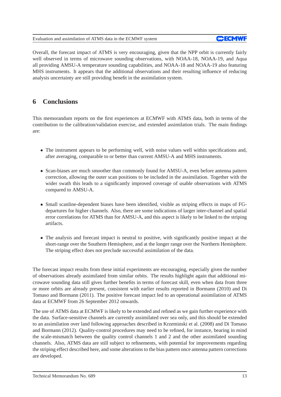Overall, the forecast impact of ATMS is very encouraging, given that the NPP orbit is currently fairly well observed in terms of microwave sounding observations, with NOAA-18, NOAA-19, and Aqua all providing AMSU-A temperature sounding capabilities, and NOAA-18 and NOAA-19 also featuring MHS instruments. It appears that the additional observations and their resulting influence of reducing analysis uncertainty are still providing benefit in the assimilation system.

## **6 Conclusions**

This memorandum reports on the first experiences at ECMWF with ATMS data, both in terms of the contribution to the calibration/validation exercise, and extended assimilation trials. The main findings are:

- The instrument appears to be performing well, with noise values well within specifications and, after averaging, comparable to or better than current AMSU-A and MHS instruments.
- Scan-biases are much smoother than commonly found for AMSU-A, even before antenna pattern correction, allowing the outer scan positions to be included in the assimilation. Together with the wider swath this leads to a significantly improved coverage of usable observations with ATMS compared to AMSU-A.
- Small scanline-dependent biases have been identified, visible as striping effects in maps of FGdepartures for higher channels. Also, there are some indications of larger inter-channel and spatial error correlations for ATMS than for AMSU-A, and this aspect is likely to be linked to the striping artifacts.
- The analysis and forecast impact is neutral to positive, with significantly positive impact at the short-range over the Southern Hemisphere, and at the longer range over the Northern Hemisphere. The striping effect does not preclude successful assimilation of the data.

The forecast impact results from these initial experiments are encouraging, especially given the number of observations already assimilated from similar orbits. The results highlight again that additional microwave sounding data still gives further benefits in terms of forecast skill, even when data from three or more orbits are already present, consistent with earlier results reported in Bormann (2010) and Di Tomaso and Bormann (2011). The positive forecast impact led to an operational assimilation of ATMS data at ECMWF from 26 September 2012 onwards.

The use of ATMS data at ECMWF is likely to be extended and refined as we gain further experience with the data. Surface-sensitive channels are currently assimilated over sea only, and this should be extended to an assimilation over land following approaches described in Krzeminski et al. (2008) and Di Tomaso and Bormann (2012). Quality-control procedures may need to be refined, for instance, bearing in mind the scale-mismatch between the quality control channels 1 and 2 and the other assimilated sounding channels. Also, ATMS data are still subject to refinements, with potential for improvements regarding the striping effect described here, and some alterations to the bias pattern once antenna pattern corrections are developed.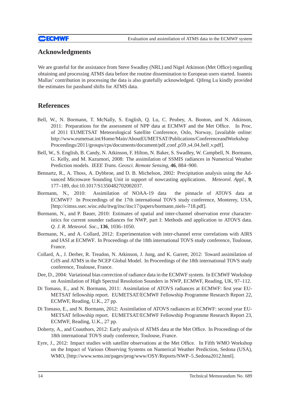## **Acknowledgments**

We are grateful for the assistance from Steve Swadley (NRL) and Nigel Atkinson (Met Office) regarding obtaining and processing ATMS data before the routine dissemination to European users started. Ioannis Mallas' contribution in processing the data is also gratefully acknowledged. Qifeng Lu kindly provided the estimates for passband shifts for ATMS data.

## **References**

- Bell, W., N. Bormann, T. McNally, S. English, Q. Lu, C. Peubey, A. Booton, and N. Atkinson, 2011: Preparations for the assessment of NPP data at ECMWF and the Met Office. In Proc. of 2011 EUMETSAT Meteorological Satellite Conference, Oslo, Norway, [available online: http://www.eumetsat.int/Home/Main/AboutEUMETSAT/Publications/ConferenceandWorkshop Proceedings/2011/groups/cps/documents/document/pdf\_conf\_p59\_s4\_04\_bell\_v.pdf].
- Bell, W., S. English, B. Candy, N. Atkinson, F. Hilton, N. Baker, S. Swadley, W. Campbell, N. Bormann, G. Kelly, and M. Kazumori, 2008: The assimilation of SSMIS radiances in Numerical Weather Prediction models. *IEEE Trans. Geosci. Remote Sensing*, **46**, 884–900.
- Bennartz, R., A. Thoss, A. Dybbroe, and D. B. Michelson, 2002: Precipitation analysis using the Advanced Microwave Sounding Unit in support of nowcasting applications. *Meteorol. Appl.*, **9**, 177–189, doi:10.1017/S1350482702002037.
- Bormann, N., 2010: Assimilation of NOAA-19 data the pinnacle of ATOVS data at ECMWF? In Proceedings of the 17th international TOVS study conference, Monterey, USA, [http://cimss.ssec.wisc.edu/itwg/itsc/itsc17/papers/bormann niels–718.pdf].
- Bormann, N., and P. Bauer, 2010: Estimates of spatial and inter-channel observation error characteristics for current sounder radiances for NWP, part I: Methods and application to ATOVS data. *Q. J. R. Meteorol. Soc.*, **136**, 1036–1050.
- Bormann, N., and A. Collard, 2012: Experimentation with inter-channel error correlations with AIRS and IASI at ECMWF. In Proceedings of the 18th international TOVS study conference, Toulouse, France.
- Collard, A., J. Derber, R. Treadon, N. Atkinson, J. Jung, and K. Garrett, 2012: Toward assimilation of CrIS and ATMS in the NCEP Global Model. In Proceedings of the 18th international TOVS study conference, Toulouse, France.
- Dee, D., 2004: Variational bias correction of radiance data in the ECMWF system. In ECMWF Workshop on Assimilation of High Spectral Resolution Sounders in NWP, ECMWF, Reading, UK, 97–112.
- Di Tomaso, E., and N. Bormann, 2011: Assimilation of ATOVS radiances at ECMWF: first year EU-METSAT fellowship report. EUMETSAT/ECMWF Fellowship Programme Research Report 22, ECMWF, Reading, U.K., 27 pp.
- Di Tomaso, E., and N. Bormann, 2012: Assimilation of ATOVS radiances at ECMWF: second year EU-METSAT fellowship report. EUMETSAT/ECMWF Fellowship Programme Research Report 23, ECMWF, Reading, U.K., 27 pp.
- Doherty, A., and Coauthors, 2012: Early analysis of ATMS data at the Met Office. In Proceedings of the 18th international TOVS study conference, Toulouse, France.
- Eyre, J., 2012: Impact studies with satellite observations at the Met Office. In Fifth WMO Workshop on the Impact of Various Observing Systems on Numerical Weather Prediction, Sedona (USA), WMO, [http://www.wmo.int/pages/prog/www/OSY/Reports/NWP–5 Sedona2012.html].